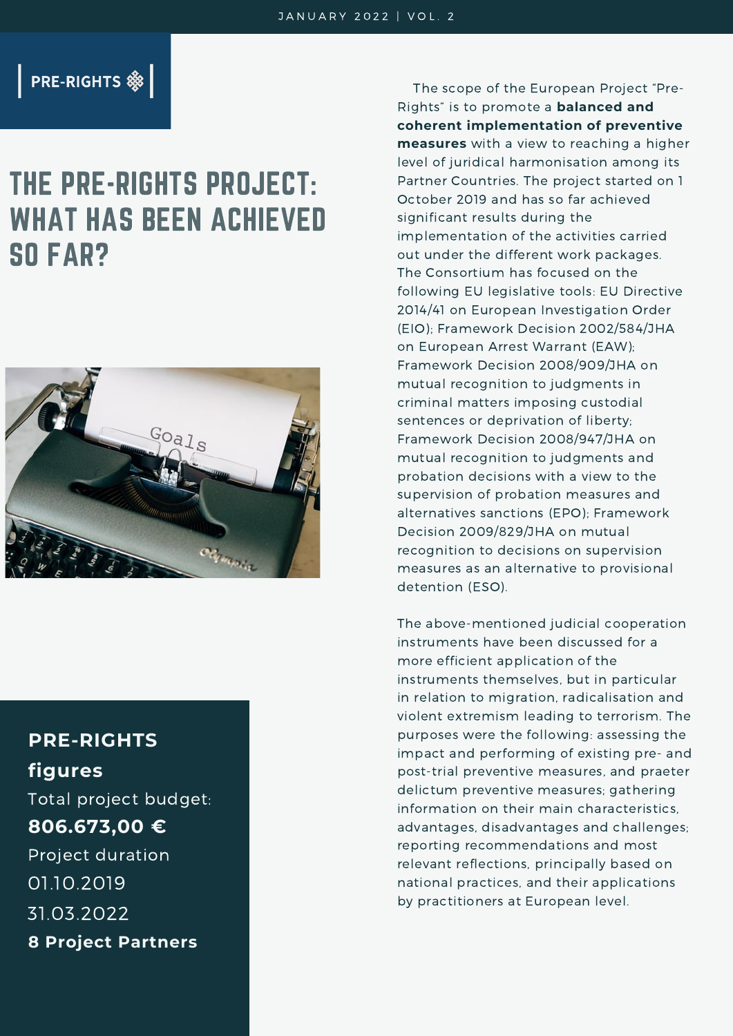### **PRE-RIGHTS &**

# THE PRE-RIGHTS PROJECT: WHAT HAS BEEN ACHIEVED SO FAR?



## **PRE-RIGHTS figures**

Total project budget: **806.673,00 €** Project duration 01.10.2019 31.03.2022 **8 Project Partners**

The scope of the European Project "Pre-Rights" is to promote a **balanced and coherent implementation of preventive measures** with a view to reaching a higher level of juridical harmonisation among its Partner Countries. The project started on 1 October 2019 and has so far achieved significant results during the implementation of the activities carried out under the different work packages. The Consortium has focused on the following EU legislative tools: EU Directive 2014/41 on European Investigation Order (EIO); Framework Decision 2002/584/JHA on European Arrest Warrant (EAW); Framework Decision 2008/909/JHA on mutual recognition to judgments in criminal matters imposing custodial sentences or deprivation of liberty; Framework Decision 2008/947/JHA on mutual recognition to judgments and probation decisions with a view to the supervision of probation measures and alternatives sanctions (EPO); Framework Decision 2009/829/JHA on mutual recognition to decisions on supervision measures as an alternative to provisional detention (ESO).

The above-mentioned judicial cooperation instruments have been discussed for a more efficient application of the instruments themselves, but in particular in relation to migration, radicalisation and violent extremism leading to terrorism. The purposes were the following: assessing the impact and performing of existing pre- and post-trial preventive measures, and praeter delictum preventive measures; gathering information on their main characteristics, advantages, disadvantages and challenges; reporting recommendations and most relevant reflections, principally based on national practices, and their applications by practitioners at European level.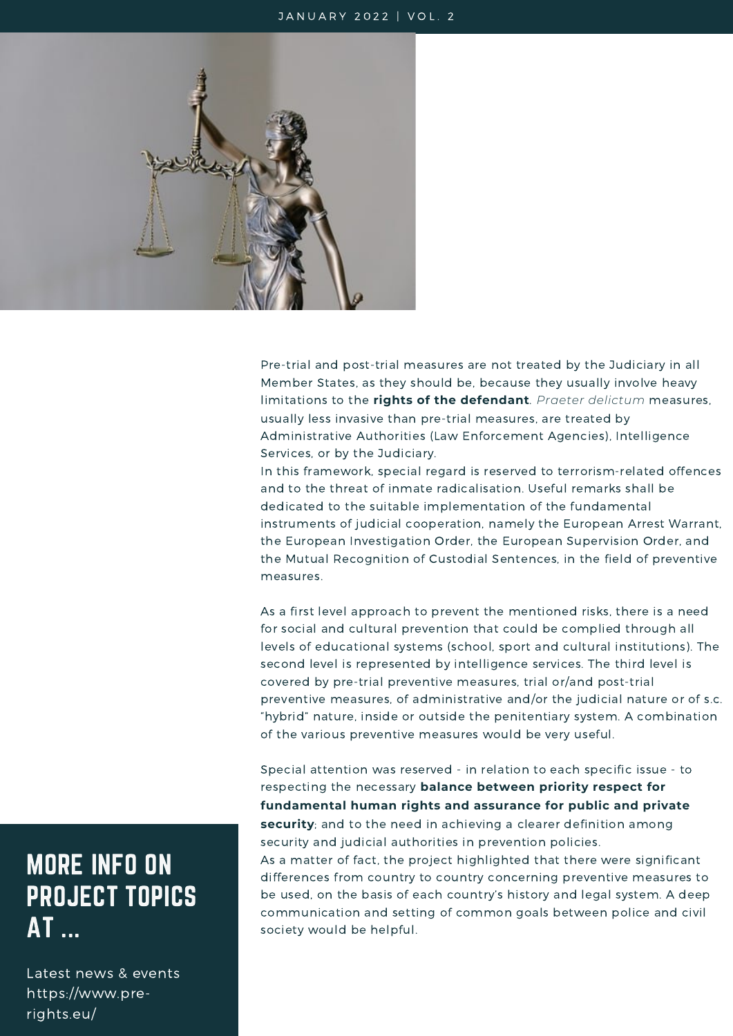#### JANUARY 2022 | VOL. 2



Pre-trial and post-trial measures are not treated by the Judiciary in all Member States, as they should be, because they usually involve heavy limitations to the **rights of the defendant**. *Praeter delictum* measures, usually less invasive than pre-trial measures, are treated by Administrative Authorities (Law Enforcement Agencies), Intelligence Services, or by the Judiciary.

In this framework, special regard is reserved to terrorism-related offences and to the threat of inmate radicalisation. Useful remarks shall be dedicated to the suitable implementation of the fundamental instruments of judicial cooperation, namely the European Arrest Warrant, the European Investigation Order, the European Supervision Order, and the Mutual Recognition of Custodial Sentences, in the field of preventive measures.

As a first level approach to prevent the mentioned risks, there is a need for social and cultural prevention that could be complied through all levels of educational systems (school, sport and cultural institutions). The second level is represented by intelligence services. The third level is covered by pre-trial preventive measures, trial or/and post-trial preventive measures, of administrative and/or the judicial nature or of s.c. "hybrid" nature, inside or outside the penitentiary system. A combination of the various preventive measures would be very useful.

Special attention was reserved - in relation to each specific issue - to respecting the necessary **balance between priority respect for fundamental human rights and assurance for public and private security**; and to the need in achieving a clearer definition among security and judicial authorities in prevention policies.

As a matter of fact, the project highlighted that there were significant differences from country to country concerning preventive measures to be used, on the basis of each country's history and legal system. A deep communication and setting of common goals between police and civil society would be helpful.

# MORE INFO ON PROJECT TOPICS AT ...

Latest news & events https://www.prerights.eu/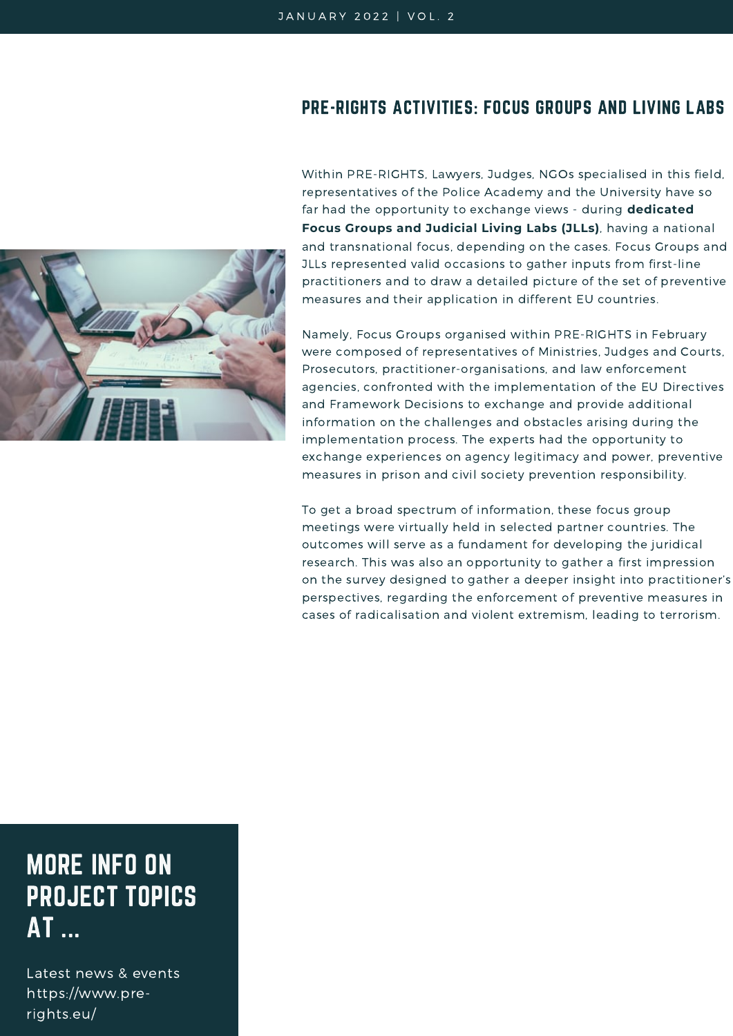### PRE-RIGHTS ACTIVITIES: FOCUS GROUPS AND LIVING LABS



Within PRE-RIGHTS, Lawyers, Judges, NGOs specialised in this field, representatives of the Police Academy and the University have so far had the opportunity to exchange views - during **dedicated Focus Groups and Judicial Living Labs (JLLs)**, having a national and transnational focus, depending on the cases. Focus Groups and JLLs represented valid occasions to gather inputs from first-line practitioners and to draw a detailed picture of the set of preventive measures and their application in different EU countries.

Namely, Focus Groups organised within PRE-RIGHTS in February were composed of representatives of Ministries, Judges and Courts, Prosecutors, practitioner-organisations, and law enforcement agencies, confronted with the implementation of the EU Directives and Framework Decisions to exchange and provide additional information on the challenges and obstacles arising during the implementation process. The experts had the opportunity to exchange experiences on agency legitimacy and power, preventive measures in prison and civil society prevention responsibility.

To get a broad spectrum of information, these focus group meetings were virtually held in selected partner countries. The outcomes will serve as a fundament for developing the juridical research. This was also an opportunity to gather a first impression on the survey designed to gather a deeper insight into practitioner's perspectives, regarding the enforcement of preventive measures in cases of radicalisation and violent extremism, leading to terrorism.

# MORE INFO ON PROJECT TOPICS AT ...

Latest news & events https://www.prerights.eu/